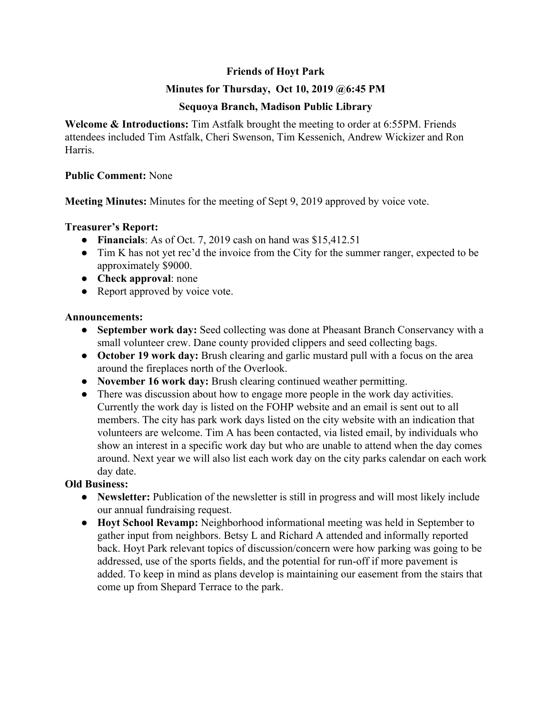# **Friends of Hoyt Park**

## **Minutes for Thursday, Oct 10, 2019 @6:45 PM**

## **Sequoya Branch, Madison Public Library**

**Welcome & Introductions:** Tim Astfalk brought the meeting to order at 6:55PM. Friends attendees included Tim Astfalk, Cheri Swenson, Tim Kessenich, Andrew Wickizer and Ron Harris.

### **Public Comment:** None

**Meeting Minutes:** Minutes for the meeting of Sept 9, 2019 approved by voice vote.

### **Treasurer's Report:**

- **Financials**: As of Oct. 7, 2019 cash on hand was \$15,412.51
- Tim K has not yet rec'd the invoice from the City for the summer ranger, expected to be approximately \$9000.
- **Check approval**: none
- Report approved by voice vote.

### **Announcements:**

- **● September work day:** Seed collecting was done at Pheasant Branch Conservancy with a small volunteer crew. Dane county provided clippers and seed collecting bags.
- **● October 19 work day:** Brush clearing and garlic mustard pull with a focus on the area around the fireplaces north of the Overlook.
- **● November 16 work day:** Brush clearing continued weather permitting.
- There was discussion about how to engage more people in the work day activities. Currently the work day is listed on the FOHP website and an email is sent out to all members. The city has park work days listed on the city website with an indication that volunteers are welcome. Tim A has been contacted, via listed email, by individuals who show an interest in a specific work day but who are unable to attend when the day comes around. Next year we will also list each work day on the city parks calendar on each work day date.

### **Old Business:**

- **● Newsletter:** Publication of the newsletter is still in progress and will most likely include our annual fundraising request.
- **● Hoyt School Revamp:** Neighborhood informational meeting was held in September to gather input from neighbors. Betsy L and Richard A attended and informally reported back. Hoyt Park relevant topics of discussion/concern were how parking was going to be addressed, use of the sports fields, and the potential for run-off if more pavement is added. To keep in mind as plans develop is maintaining our easement from the stairs that come up from Shepard Terrace to the park.